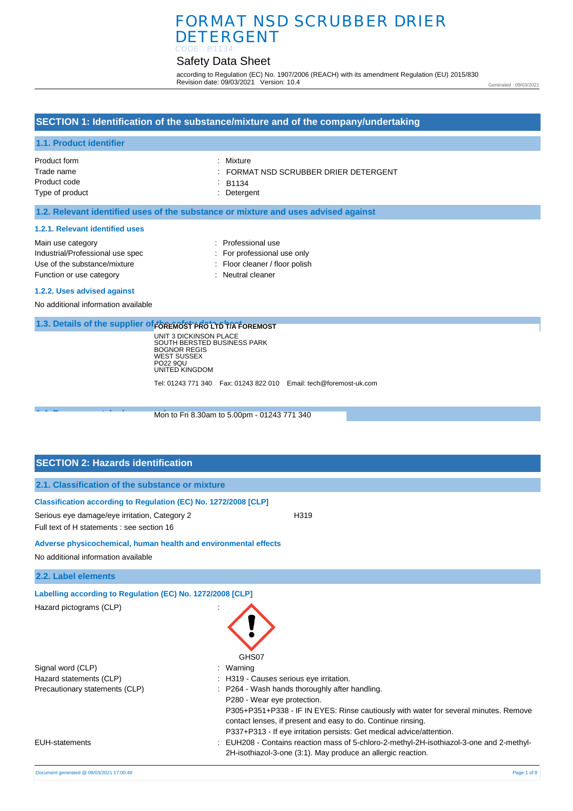## FORMAT NSD SCRUBBER DRIER DETERGENT CODE : B1134

## Safety Data Sheet

according to Regulation (EC) No. 1907/2006 (REACH) with its amendment Regulation (EU) 2015/830 Revision date: 09/03/2021 Version: 10.4

Generated : 09/03/2021

## **SECTION 1: Identification of the substance/mixture and of the company/undertaking**

#### **1.1. Product identifier**

| Product form    | : Mixture                                        |
|-----------------|--------------------------------------------------|
| Trade name      | $\therefore$ FORMAT NSD SCRUBBER DRIER DETERGENT |
| Product code    | B1134                                            |
| Type of product | : Detergent                                      |

#### **1.2. Relevant identified uses of the substance or mixture and uses advised against**

#### **1.2.1. Relevant identified uses**

| Main use category                | : Professional us     |
|----------------------------------|-----------------------|
| Industrial/Professional use spec | : For professiona     |
| Use of the substance/mixture     | $:$ Floor cleaner / f |
| Function or use category         | : Neutral cleaner     |

- : Professional use
- : For professional use only : Floor cleaner / floor polish
- 
- **1.2.2. Uses advised against**

No additional information available

### **1.3. Details of the supplier of** *EOREMOST PRO LTD TIA FOREMOST*

UNIT 3 DICKINSON PLACE SOUTH BERSTED BUSINESS PARK BOGNOR REGIS WEST SUSSEX PO22 9QU UNITED KINGDOM Tel: 01243 771 340 Fax: 01243 822 010 Email: tech@foremost-uk.com

**1.4. Emergency 1.4. Emergency 2.4. Post in the Fri 8.30am to 5.00pm - 01243 771 340** 

## **SECTION 2: Hazards identification**

| 2.1. Classification of the substance or mixture |  |  |  |  |  |  |  |
|-------------------------------------------------|--|--|--|--|--|--|--|
|-------------------------------------------------|--|--|--|--|--|--|--|

| Classification according to Regulation (EC) No. 1272/2008 [CLP]<br>Serious eye damage/eye irritation, Category 2<br>Full text of H statements : see section 16 | H319                                                                                                                                  |
|----------------------------------------------------------------------------------------------------------------------------------------------------------------|---------------------------------------------------------------------------------------------------------------------------------------|
| Adverse physicochemical, human health and environmental effects                                                                                                |                                                                                                                                       |
| No additional information available                                                                                                                            |                                                                                                                                       |
| 2.2. Label elements                                                                                                                                            |                                                                                                                                       |
| Labelling according to Regulation (EC) No. 1272/2008 [CLP]                                                                                                     |                                                                                                                                       |
| Hazard pictograms (CLP)                                                                                                                                        | GHS07                                                                                                                                 |
| Signal word (CLP)                                                                                                                                              | : Warning                                                                                                                             |
| Hazard statements (CLP)                                                                                                                                        | : H319 - Causes serious eye irritation.                                                                                               |
| Precautionary statements (CLP)                                                                                                                                 | : P264 - Wash hands thoroughly after handling.                                                                                        |
|                                                                                                                                                                | P280 - Wear eye protection.                                                                                                           |
|                                                                                                                                                                | P305+P351+P338 - IF IN EYES: Rinse cautiously with water for several minutes. Remove                                                  |
|                                                                                                                                                                | contact lenses, if present and easy to do. Continue rinsing.<br>P337+P313 - If eye irritation persists: Get medical advice/attention. |
|                                                                                                                                                                |                                                                                                                                       |

EUH-statements : EUH208 - Contains reaction mass of 5-chloro-2-methyl-2H-isothiazol-3-one and 2-methyl-2H-isothiazol-3-one (3:1). May produce an allergic reaction.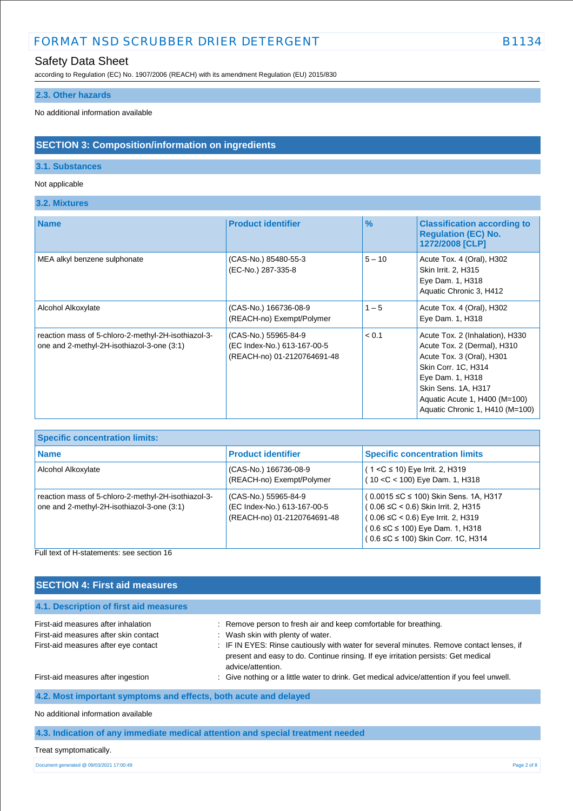## Safety Data Sheet

according to Regulation (EC) No. 1907/2006 (REACH) with its amendment Regulation (EU) 2015/830

### **2.3. Other hazards**

No additional information available

## **SECTION 3: Composition/information on ingredients**

### **3.1. Substances**

#### Not applicable

**3.2. Mixtures**

Ŧ.

| <b>Name</b>                                                                                       | <b>Product identifier</b>                                                          | $\%$     | <b>Classification according to</b><br><b>Regulation (EC) No.</b><br>1272/2008 [CLP]                                                                                                                                               |
|---------------------------------------------------------------------------------------------------|------------------------------------------------------------------------------------|----------|-----------------------------------------------------------------------------------------------------------------------------------------------------------------------------------------------------------------------------------|
| MEA alkyl benzene sulphonate                                                                      | (CAS-No.) 85480-55-3<br>(EC-No.) 287-335-8                                         | $5 - 10$ | Acute Tox. 4 (Oral), H302<br>Skin Irrit. 2, H315<br>Eye Dam. 1, H318<br>Aquatic Chronic 3, H412                                                                                                                                   |
| Alcohol Alkoxylate                                                                                | (CAS-No.) 166736-08-9<br>(REACH-no) Exempt/Polymer                                 | $1 - 5$  | Acute Tox. 4 (Oral), H302<br>Eye Dam. 1, H318                                                                                                                                                                                     |
| reaction mass of 5-chloro-2-methyl-2H-isothiazol-3-<br>one and 2-methyl-2H-isothiazol-3-one (3:1) | (CAS-No.) 55965-84-9<br>(EC Index-No.) 613-167-00-5<br>(REACH-no) 01-2120764691-48 | < 0.1    | Acute Tox. 2 (Inhalation), H330<br>Acute Tox. 2 (Dermal), H310<br>Acute Tox. 3 (Oral), H301<br>Skin Corr. 1C, H314<br>Eye Dam. 1, H318<br>Skin Sens. 1A, H317<br>Aquatic Acute 1, H400 (M=100)<br>Aquatic Chronic 1, H410 (M=100) |

| <b>Specific concentration limits:</b>                                                             |                                                                                    |                                                                                                                                                                                                                  |
|---------------------------------------------------------------------------------------------------|------------------------------------------------------------------------------------|------------------------------------------------------------------------------------------------------------------------------------------------------------------------------------------------------------------|
| <b>Name</b>                                                                                       | <b>Product identifier</b>                                                          | <b>Specific concentration limits</b>                                                                                                                                                                             |
| Alcohol Alkoxylate                                                                                | (CAS-No.) 166736-08-9<br>(REACH-no) Exempt/Polymer                                 | $(1 < C \le 10)$ Eye Irrit. 2, H319<br>(10 < C < 100) Eye Dam. 1, H318                                                                                                                                           |
| reaction mass of 5-chloro-2-methyl-2H-isothiazol-3-<br>one and 2-methyl-2H-isothiazol-3-one (3:1) | (CAS-No.) 55965-84-9<br>(EC Index-No.) 613-167-00-5<br>(REACH-no) 01-2120764691-48 | (0.0015 ≤C ≤ 100) Skin Sens. 1A, H317<br>$(0.06 \leq C < 0.6)$ Skin Irrit. 2, H315<br>$(0.06 \leq C < 0.6)$ Eye Irrit. 2, H319<br>$(0.6 \leq C \leq 100)$ Eye Dam. 1, H318<br>(0.6 ≤C ≤ 100) Skin Corr. 1C, H314 |

Full text of H-statements: see section 16

| <b>SECTION 4: First aid measures</b>                                                                                 |                                                                                                                                                                                                                                                                                                             |
|----------------------------------------------------------------------------------------------------------------------|-------------------------------------------------------------------------------------------------------------------------------------------------------------------------------------------------------------------------------------------------------------------------------------------------------------|
| 4.1. Description of first aid measures                                                                               |                                                                                                                                                                                                                                                                                                             |
| First-aid measures after inhalation<br>First-aid measures after skin contact<br>First-aid measures after eye contact | : Remove person to fresh air and keep comfortable for breathing.<br>: Wash skin with plenty of water.<br>: IF IN EYES: Rinse cautiously with water for several minutes. Remove contact lenses, if<br>present and easy to do. Continue rinsing. If eye irritation persists: Get medical<br>advice/attention. |
| First-aid measures after ingestion                                                                                   | : Give nothing or a little water to drink. Get medical advice/attention if you feel unwell.                                                                                                                                                                                                                 |
| 4.2. Most important symptoms and effects, both acute and delayed                                                     |                                                                                                                                                                                                                                                                                                             |
| No additional information available                                                                                  |                                                                                                                                                                                                                                                                                                             |

**4.3. Indication of any immediate medical attention and special treatment needed**

Treat symptomatically.

Document generated @ 09/03/2021 17:00:49 Page 2 of 8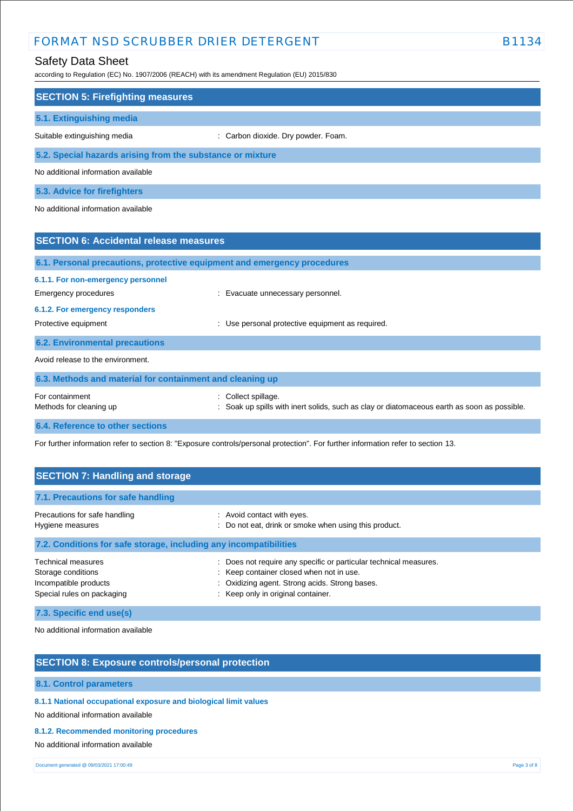## Safety Data Sheet

according to Regulation (EC) No. 1907/2006 (REACH) with its amendment Regulation (EU) 2015/830

| <b>SECTION 5: Firefighting measures</b>                                  |                                                                                           |
|--------------------------------------------------------------------------|-------------------------------------------------------------------------------------------|
| 5.1. Extinguishing media                                                 |                                                                                           |
| Suitable extinguishing media                                             | : Carbon dioxide. Dry powder. Foam.                                                       |
| 5.2. Special hazards arising from the substance or mixture               |                                                                                           |
| No additional information available                                      |                                                                                           |
| 5.3. Advice for firefighters                                             |                                                                                           |
| No additional information available                                      |                                                                                           |
|                                                                          |                                                                                           |
| <b>SECTION 6: Accidental release measures</b>                            |                                                                                           |
| 6.1. Personal precautions, protective equipment and emergency procedures |                                                                                           |
| 6.1.1. For non-emergency personnel                                       |                                                                                           |
| <b>Emergency procedures</b>                                              | : Evacuate unnecessary personnel.                                                         |
| 6.1.2. For emergency responders                                          |                                                                                           |
| Protective equipment                                                     | Use personal protective equipment as required.                                            |
| <b>6.2. Environmental precautions</b>                                    |                                                                                           |
| Avoid release to the environment.                                        |                                                                                           |
| 6.3. Methods and material for containment and cleaning up                |                                                                                           |
| For containment                                                          | : Collect spillage.                                                                       |
| Methods for cleaning up                                                  | Soak up spills with inert solids, such as clay or diatomaceous earth as soon as possible. |

**6.4. Reference to other sections**

For further information refer to section 8: "Exposure controls/personal protection". For further information refer to section 13.

| <b>SECTION 7: Handling and storage</b>                                                                 |                                                                                                                                                                                                       |  |  |  |  |
|--------------------------------------------------------------------------------------------------------|-------------------------------------------------------------------------------------------------------------------------------------------------------------------------------------------------------|--|--|--|--|
| 7.1. Precautions for safe handling                                                                     |                                                                                                                                                                                                       |  |  |  |  |
| Precautions for safe handling<br>Hygiene measures                                                      | : Avoid contact with eyes.<br>: Do not eat, drink or smoke when using this product.                                                                                                                   |  |  |  |  |
| 7.2. Conditions for safe storage, including any incompatibilities                                      |                                                                                                                                                                                                       |  |  |  |  |
| <b>Technical measures</b><br>Storage conditions<br>Incompatible products<br>Special rules on packaging | : Does not require any specific or particular technical measures.<br>: Keep container closed when not in use.<br>: Oxidizing agent. Strong acids. Strong bases.<br>: Keep only in original container. |  |  |  |  |

**7.3. Specific end use(s)**

No additional information available

### **SECTION 8: Exposure controls/personal protection**

#### **8.1. Control parameters**

**8.1.1 National occupational exposure and biological limit values** 

No additional information available

#### **8.1.2. Recommended monitoring procedures**

No additional information available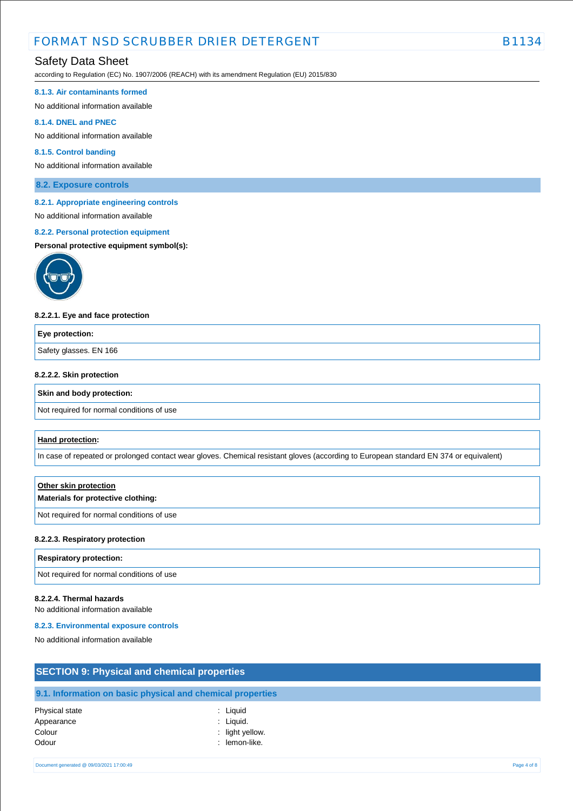## Safety Data Sheet

according to Regulation (EC) No. 1907/2006 (REACH) with its amendment Regulation (EU) 2015/830

#### **8.1.3. Air contaminants formed**

No additional information available

#### **8.1.4. DNEL and PNEC**

No additional information available

#### **8.1.5. Control banding**

No additional information available

**8.2. Exposure controls**

#### **8.2.1. Appropriate engineering controls**

# No additional information available

**8.2.2. Personal protection equipment** 

#### **Personal protective equipment symbol(s):**



#### **8.2.2.1. Eye and face protection**

| Eye protection:        |  |
|------------------------|--|
| Safety glasses. EN 166 |  |
|                        |  |

#### **8.2.2.2. Skin protection**

#### **Skin and body protection:**

Not required for normal conditions of use

#### **Hand protection:**

In case of repeated or prolonged contact wear gloves. Chemical resistant gloves (according to European standard EN 374 or equivalent)

# **Other skin protection Materials for protective clothing:**

Not required for normal conditions of use

#### **8.2.2.3. Respiratory protection**

#### **Respiratory protection:**

Not required for normal conditions of use

#### **8.2.2.4. Thermal hazards**

No additional information available

#### **8.2.3. Environmental exposure controls**

No additional information available

| <b>SECTION 9: Physical and chemical properties</b>         |  |  |  |  |
|------------------------------------------------------------|--|--|--|--|
| 9.1. Information on basic physical and chemical properties |  |  |  |  |
|                                                            |  |  |  |  |

| Physical state | : Liquid        |
|----------------|-----------------|
| Appearance     | : Liquid.       |
| Colour         | : light yellow. |
| Odour          | : lemon-like.   |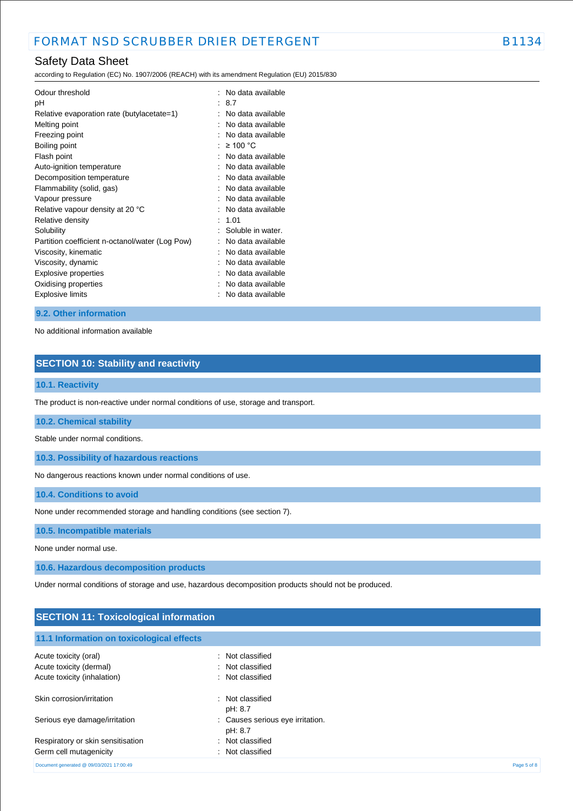## Safety Data Sheet

according to Regulation (EC) No. 1907/2006 (REACH) with its amendment Regulation (EU) 2015/830

| Odour threshold<br>рH<br>Relative evaporation rate (butylacetate=1)<br>Melting point<br>Freezing point<br>Boiling point<br>Flash point<br>Auto-ignition temperature<br>Decomposition temperature<br>Flammability (solid, gas)<br>Vapour pressure<br>Relative vapour density at 20 °C<br>Relative density<br>Solubility<br>Partition coefficient n-octanol/water (Log Pow)<br>Viscosity, kinematic<br>Viscosity, dynamic<br>Explosive properties | ٠ | No data available<br>-8.7<br>No data available<br>No data available<br>No data available<br>≥ 100 °C<br>No data available<br>No data available<br>No data available<br>No data available<br>No data available<br>No data available<br>1.01<br>Soluble in water.<br>No data available<br>No data available<br>No data available<br>No data available |
|-------------------------------------------------------------------------------------------------------------------------------------------------------------------------------------------------------------------------------------------------------------------------------------------------------------------------------------------------------------------------------------------------------------------------------------------------|---|-----------------------------------------------------------------------------------------------------------------------------------------------------------------------------------------------------------------------------------------------------------------------------------------------------------------------------------------------------|
|                                                                                                                                                                                                                                                                                                                                                                                                                                                 |   |                                                                                                                                                                                                                                                                                                                                                     |
| Oxidising properties<br>Explosive limits                                                                                                                                                                                                                                                                                                                                                                                                        |   | No data available<br>No data available                                                                                                                                                                                                                                                                                                              |

#### **9.2. Other information**

No additional information available

## **SECTION 10: Stability and reactivity**

#### **10.1. Reactivity**

The product is non-reactive under normal conditions of use, storage and transport.

#### **10.2. Chemical stability**

Stable under normal conditions.

**10.3. Possibility of hazardous reactions**

No dangerous reactions known under normal conditions of use.

**10.4. Conditions to avoid**

None under recommended storage and handling conditions (see section 7).

**10.5. Incompatible materials**

None under normal use.

**10.6. Hazardous decomposition products**

Under normal conditions of storage and use, hazardous decomposition products should not be produced.

| <b>SECTION 11: Toxicological information</b> |                                             |  |
|----------------------------------------------|---------------------------------------------|--|
| 11.1 Information on toxicological effects    |                                             |  |
| Acute toxicity (oral)                        | : Not classified                            |  |
| Acute toxicity (dermal)                      | : Not classified                            |  |
| Acute toxicity (inhalation)                  | : Not classified                            |  |
| Skin corrosion/irritation                    | : Not classified<br>pH: 8.7                 |  |
| Serious eye damage/irritation                | : Causes serious eye irritation.<br>pH: 8.7 |  |
| Respiratory or skin sensitisation            | : Not classified                            |  |
| Germ cell mutagenicity                       | : Not classified                            |  |

```
Document generated @ 09/03/2021 17:00:49 Page 5 of 8
```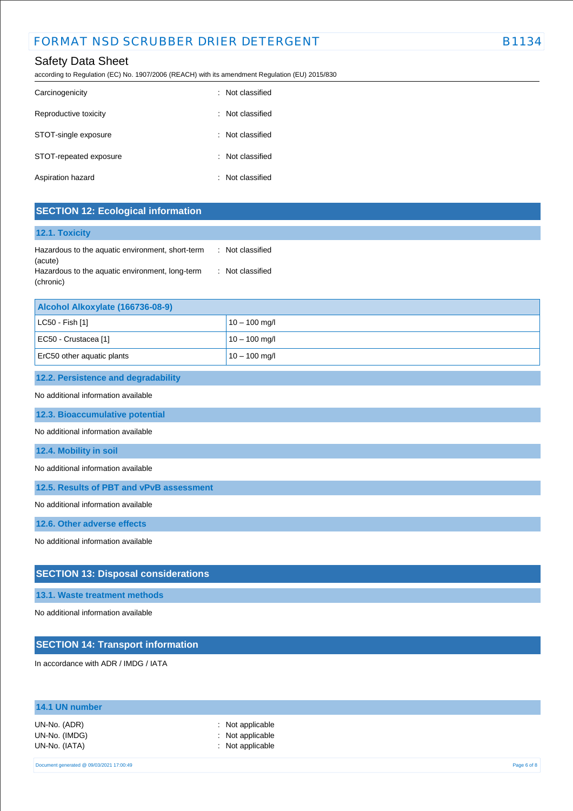## Safety Data Sheet

according to Regulation (EC) No. 1907/2006 (REACH) with its amendment Regulation (EU) 2015/830

| Carcinogenicity        | : Not classified |
|------------------------|------------------|
| Reproductive toxicity  | : Not classified |
| STOT-single exposure   | : Not classified |
| STOT-repeated exposure | : Not classified |
| Aspiration hazard      | : Not classified |

### **SECTION 12: Ecological information**

#### **12.1. Toxicity**

| Hazardous to the aquatic environment, short-term | : Not classified |
|--------------------------------------------------|------------------|
| (acute)                                          |                  |
| Hazardous to the aquatic environment, long-term  | : Not classified |
| (chronic)                                        |                  |

| Alcohol Alkoxylate (166736-08-9) |                 |  |
|----------------------------------|-----------------|--|
| $ $ LC50 - Fish [1]              | $10 - 100$ mg/l |  |
| EC50 - Crustacea [1]             | $10 - 100$ mg/l |  |
| ErC50 other aquatic plants       | $10 - 100$ mg/l |  |

#### **12.2. Persistence and degradability**

#### No additional information available

**12.3. Bioaccumulative potential**

No additional information available

#### **12.4. Mobility in soil**

No additional information available

**12.5. Results of PBT and vPvB assessment**

No additional information available

**12.6. Other adverse effects**

No additional information available

### **SECTION 13: Disposal considerations**

#### **13.1. Waste treatment methods**

No additional information available

## **SECTION 14: Transport information**

In accordance with ADR / IMDG / IATA

| 14.1 UN number                                 |                                                                     |             |
|------------------------------------------------|---------------------------------------------------------------------|-------------|
| UN-No. (ADR)<br>UN-No. (IMDG)<br>UN-No. (IATA) | $\therefore$ Not applicable<br>: Not applicable<br>: Not applicable |             |
| Document generated @ 09/03/2021 17:00:49       |                                                                     | Page 6 of 8 |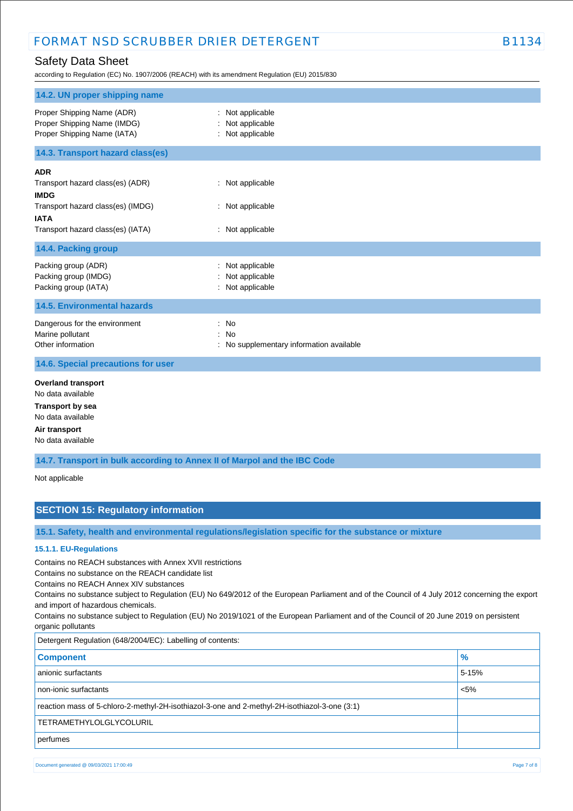## Safety Data Sheet

according to Regulation (EC) No. 1907/2006 (REACH) with its amendment Regulation (EU) 2015/830

| 14.2. UN proper shipping name                                                                                                                          |                                                              |
|--------------------------------------------------------------------------------------------------------------------------------------------------------|--------------------------------------------------------------|
| Proper Shipping Name (ADR)<br>Proper Shipping Name (IMDG)<br>Proper Shipping Name (IATA)                                                               | Not applicable<br>Not applicable<br>: Not applicable         |
| 14.3. Transport hazard class(es)                                                                                                                       |                                                              |
| <b>ADR</b><br>Transport hazard class(es) (ADR)<br><b>IMDG</b><br>Transport hazard class(es) (IMDG)<br><b>IATA</b><br>Transport hazard class(es) (IATA) | : Not applicable<br>: Not applicable<br>: Not applicable     |
| 14.4. Packing group                                                                                                                                    |                                                              |
| Packing group (ADR)<br>Packing group (IMDG)<br>Packing group (IATA)                                                                                    | Not applicable<br>Not applicable<br>: Not applicable         |
| <b>14.5. Environmental hazards</b>                                                                                                                     |                                                              |
| Dangerous for the environment<br>Marine pollutant<br>Other information<br>14.6. Special precautions for user                                           | : No<br>: No<br>No supplementary information available<br>t. |
|                                                                                                                                                        |                                                              |
| <b>Overland transport</b><br>No data available<br><b>Transport by sea</b><br>No data available<br>Air transport<br>No data available                   |                                                              |

**14.7. Transport in bulk according to Annex II of Marpol and the IBC Code**

Not applicable

## **SECTION 15: Regulatory information**

**15.1. Safety, health and environmental regulations/legislation specific for the substance or mixture**

#### **15.1.1. EU-Regulations**

Contains no REACH substances with Annex XVII restrictions

Contains no substance on the REACH candidate list

Contains no REACH Annex XIV substances

Contains no substance subject to Regulation (EU) No 649/2012 of the European Parliament and of the Council of 4 July 2012 concerning the export and import of hazardous chemicals.

Contains no substance subject to Regulation (EU) No 2019/1021 of the European Parliament and of the Council of 20 June 2019 on persistent organic pollutants

| Detergent Regulation (648/2004/EC): Labelling of contents:                                    |               |
|-----------------------------------------------------------------------------------------------|---------------|
| <b>Component</b>                                                                              | $\frac{9}{6}$ |
| anionic surfactants                                                                           | 5-15%         |
| non-ionic surfactants                                                                         | $< 5\%$       |
| reaction mass of 5-chloro-2-methyl-2H-isothiazol-3-one and 2-methyl-2H-isothiazol-3-one (3:1) |               |
| <b>TETRAMETHYLOLGLYCOLURIL</b>                                                                |               |
| perfumes                                                                                      |               |

Document generated @ 09/03/2021 17:00:49 Page 7 of 8